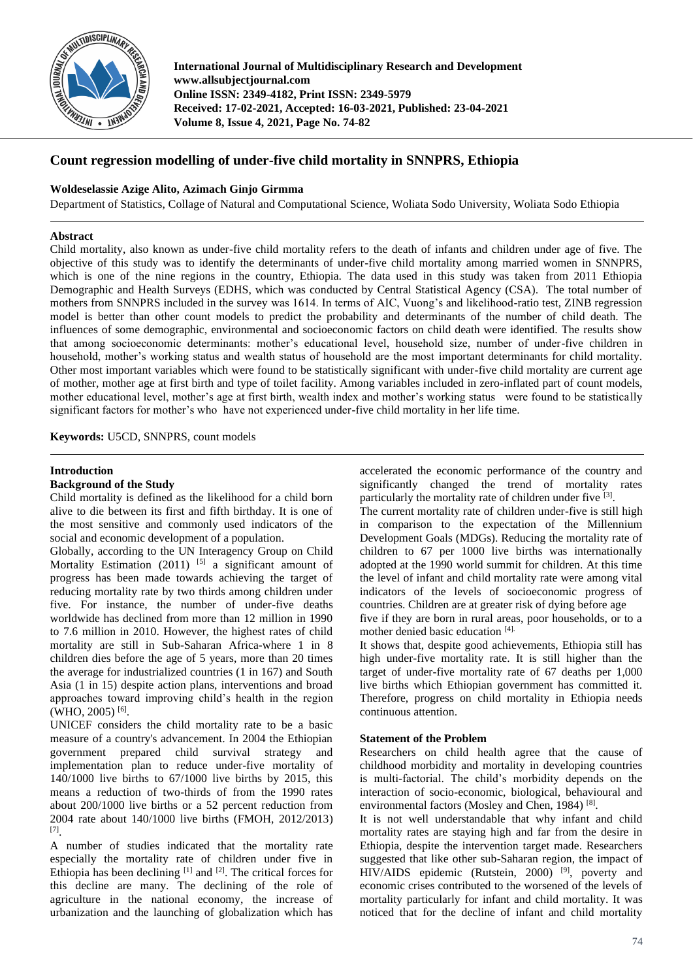

**International Journal of Multidisciplinary Research and Development www.allsubjectjournal.com Online ISSN: 2349-4182, Print ISSN: 2349-5979 Received: 17-02-2021, Accepted: 16-03-2021, Published: 23-04-2021 Volume 8, Issue 4, 2021, Page No. 74-82**

# **Count regression modelling of under-five child mortality in SNNPRS, Ethiopia**

## **Woldeselassie Azige Alito, Azimach Ginjo Girmma**

Department of Statistics, Collage of Natural and Computational Science, Woliata Sodo University, Woliata Sodo Ethiopia

## **Abstract**

Child mortality, also known as under-five child mortality refers to the death of infants and children under age of five. The objective of this study was to identify the determinants of under-five child mortality among married women in SNNPRS, which is one of the nine regions in the country, Ethiopia. The data used in this study was taken from 2011 Ethiopia Demographic and Health Surveys (EDHS, which was conducted by Central Statistical Agency (CSA). The total number of mothers from SNNPRS included in the survey was 1614. In terms of AIC, Vuong's and likelihood-ratio test, ZINB regression model is better than other count models to predict the probability and determinants of the number of child death. The influences of some demographic, environmental and socioeconomic factors on child death were identified. The results show that among socioeconomic determinants: mother's educational level, household size, number of under-five children in household, mother's working status and wealth status of household are the most important determinants for child mortality. Other most important variables which were found to be statistically significant with under-five child mortality are current age of mother, mother age at first birth and type of toilet facility. Among variables included in zero-inflated part of count models, mother educational level, mother's age at first birth, wealth index and mother's working status were found to be statistically significant factors for mother's who have not experienced under-five child mortality in her life time.

**Keywords:** U5CD, SNNPRS, count models

## **Introduction**

## **Background of the Study**

Child mortality is defined as the likelihood for a child born alive to die between its first and fifth birthday. It is one of the most sensitive and commonly used indicators of the social and economic development of a population.

Globally, according to the UN Interagency Group on Child Mortality Estimation  $(2011)$ <sup>[5]</sup> a significant amount of progress has been made towards achieving the target of reducing mortality rate by two thirds among children under five. For instance, the number of under-five deaths worldwide has declined from more than 12 million in 1990 to 7.6 million in 2010. However, the highest rates of child mortality are still in Sub-Saharan Africa-where 1 in 8 children dies before the age of 5 years, more than 20 times the average for industrialized countries (1 in 167) and South Asia (1 in 15) despite action plans, interventions and broad approaches toward improving child's health in the region (WHO, 2005) [6] .

UNICEF considers the child mortality rate to be a basic measure of a country's advancement. In 2004 the Ethiopian government prepared child survival strategy and implementation plan to reduce under-five mortality of 140/1000 live births to 67/1000 live births by 2015, this means a reduction of two-thirds of from the 1990 rates about 200/1000 live births or a 52 percent reduction from 2004 rate about 140/1000 live births (FMOH, 2012/2013) [7] .

A number of studies indicated that the mortality rate especially the mortality rate of children under five in Ethiopia has been declining  $[1]$  and  $[2]$ . The critical forces for this decline are many. The declining of the role of agriculture in the national economy, the increase of urbanization and the launching of globalization which has accelerated the economic performance of the country and significantly changed the trend of mortality rates particularly the mortality rate of children under five [3].

The current mortality rate of children under-five is still high in comparison to the expectation of the Millennium Development Goals (MDGs). Reducing the mortality rate of children to 67 per 1000 live births was internationally adopted at the 1990 world summit for children. At this time the level of infant and child mortality rate were among vital indicators of the levels of socioeconomic progress of countries. Children are at greater risk of dying before age

five if they are born in rural areas, poor households, or to a mother denied basic education [4].

It shows that, despite good achievements, Ethiopia still has high under-five mortality rate. It is still higher than the target of under-five mortality rate of 67 deaths per 1,000 live births which Ethiopian government has committed it. Therefore, progress on child mortality in Ethiopia needs continuous attention.

### **Statement of the Problem**

Researchers on child health agree that the cause of childhood morbidity and mortality in developing countries is multi-factorial. The child's morbidity depends on the interaction of socio-economic, biological, behavioural and environmental factors (Mosley and Chen, 1984)<sup>[8]</sup>.

It is not well understandable that why infant and child mortality rates are staying high and far from the desire in Ethiopia, despite the intervention target made. Researchers suggested that like other sub-Saharan region, the impact of HIV/AIDS epidemic (Rutstein, 2000)<sup>[9]</sup>, poverty and economic crises contributed to the worsened of the levels of mortality particularly for infant and child mortality. It was noticed that for the decline of infant and child mortality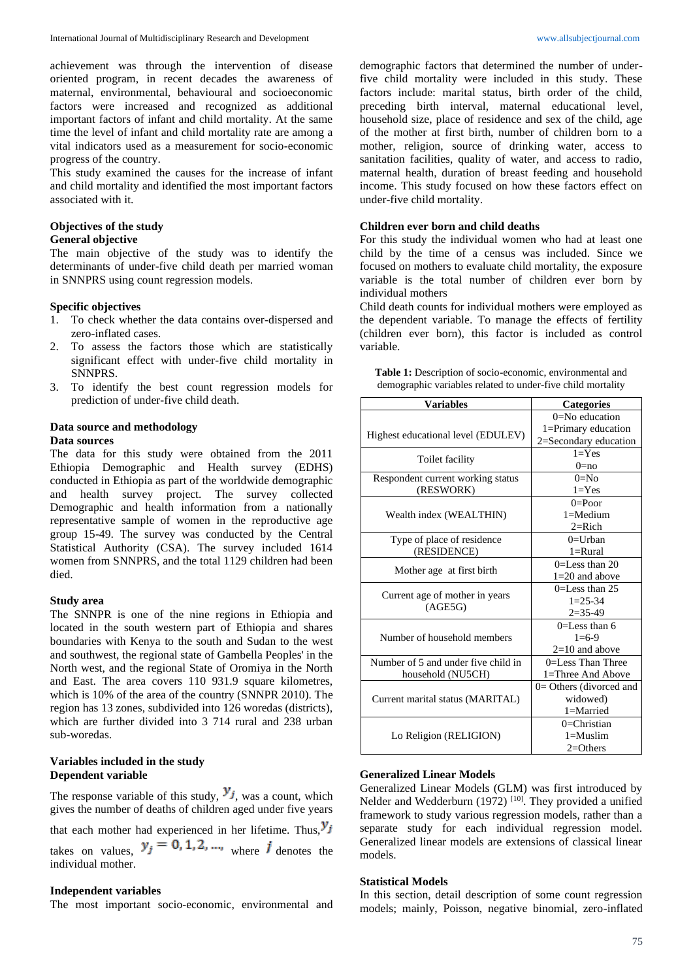achievement was through the intervention of disease oriented program, in recent decades the awareness of maternal, environmental, behavioural and socioeconomic factors were increased and recognized as additional important factors of infant and child mortality. At the same time the level of infant and child mortality rate are among a vital indicators used as a measurement for socio-economic progress of the country.

This study examined the causes for the increase of infant and child mortality and identified the most important factors associated with it.

## **Objectives of the study**

## **General objective**

The main objective of the study was to identify the determinants of under-five child death per married woman in SNNPRS using count regression models.

#### **Specific objectives**

- 1. To check whether the data contains over-dispersed and zero-inflated cases.
- 2. To assess the factors those which are statistically significant effect with under-five child mortality in SNNPRS.
- 3. To identify the best count regression models for prediction of under-five child death.

## **Data source and methodology Data sources**

The data for this study were obtained from the 2011 Ethiopia Demographic and Health survey (EDHS) conducted in Ethiopia as part of the worldwide demographic and health survey project. The survey collected Demographic and health information from a nationally representative sample of women in the reproductive age group 15-49. The survey was conducted by the Central Statistical Authority (CSA). The survey included 1614 women from SNNPRS, and the total 1129 children had been died.

#### **Study area**

The SNNPR is one of the nine regions in Ethiopia and located in the south western part of Ethiopia and shares boundaries with Kenya to the south and Sudan to the west and southwest, the regional state of Gambella Peoples' in the North west, and the regional State of Oromiya in the North and East. The area covers 110 931.9 square kilometres, which is 10% of the area of the country (SNNPR 2010). The region has 13 zones, subdivided into 126 woredas (districts), which are further divided into 3 714 rural and 238 urban sub-woredas.

## **Variables included in the study Dependent variable**

The response variable of this study,  $y_j$ , was a count, which gives the number of deaths of children aged under five years

that each mother had experienced in her lifetime. Thus,  $y_j$ takes on values,  $y_j = 0, 1, 2, \dots$ , where j denotes the individual mother.

### **Independent variables**

The most important socio-economic, environmental and

demographic factors that determined the number of underfive child mortality were included in this study. These factors include: marital status, birth order of the child, preceding birth interval, maternal educational level, household size, place of residence and sex of the child, age of the mother at first birth, number of children born to a mother, religion, source of drinking water, access to sanitation facilities, quality of water, and access to radio, maternal health, duration of breast feeding and household income. This study focused on how these factors effect on under-five child mortality.

## **Children ever born and child deaths**

For this study the individual women who had at least one child by the time of a census was included. Since we focused on mothers to evaluate child mortality, the exposure variable is the total number of children ever born by individual mothers

Child death counts for individual mothers were employed as the dependent variable. To manage the effects of fertility (children ever born), this factor is included as control variable.

| Table 1: Description of socio-economic, environmental and   |
|-------------------------------------------------------------|
| demographic variables related to under-five child mortality |

| <b>Variables</b>                          | <b>Categories</b>         |  |  |  |
|-------------------------------------------|---------------------------|--|--|--|
|                                           | $0 = No$ education        |  |  |  |
|                                           | 1=Primary education       |  |  |  |
| Highest educational level (EDULEV)        | 2=Secondary education     |  |  |  |
|                                           | $1 = Yes$                 |  |  |  |
| Toilet facility                           | $0 = no$                  |  |  |  |
| Respondent current working status         | $0=No$                    |  |  |  |
| (RESWORK)                                 | $1 = Yes$                 |  |  |  |
|                                           | $0 =$ Poor                |  |  |  |
| Wealth index (WEALTHIN)                   | $1 =$ Medium              |  |  |  |
|                                           | $2 =$ Rich                |  |  |  |
| Type of place of residence                | $0=U$ rban                |  |  |  |
| (RESIDENCE)                               | $1 =$ Rural               |  |  |  |
|                                           | $0=$ Less than 20         |  |  |  |
| Mother age at first birth                 | $1=20$ and above          |  |  |  |
|                                           | $0=$ Less than 25         |  |  |  |
| Current age of mother in years<br>(AGE5G) | $1 = 25 - 34$             |  |  |  |
|                                           | $2=35-49$                 |  |  |  |
|                                           | $0=$ Less than 6          |  |  |  |
| Number of household members               | $1=6-9$                   |  |  |  |
|                                           | $2=10$ and above          |  |  |  |
| Number of 5 and under five child in       | $0=$ Less Than Three      |  |  |  |
| household (NU5CH)                         | 1=Three And Above         |  |  |  |
|                                           | $0=$ Others (divorced and |  |  |  |
| Current marital status (MARITAL)          | widowed)                  |  |  |  |
|                                           | 1=Married                 |  |  |  |
|                                           | $0=Christian$             |  |  |  |
| Lo Religion (RELIGION)                    | $1 =$ Muslim              |  |  |  |
|                                           | $2 = Others$              |  |  |  |

### **Generalized Linear Models**

Generalized Linear Models (GLM) was first introduced by Nelder and Wedderburn (1972)<sup>[10]</sup>. They provided a unified framework to study various regression models, rather than a separate study for each individual regression model. Generalized linear models are extensions of classical linear models.

#### **Statistical Models**

In this section, detail description of some count regression models; mainly, Poisson, negative binomial, zero-inflated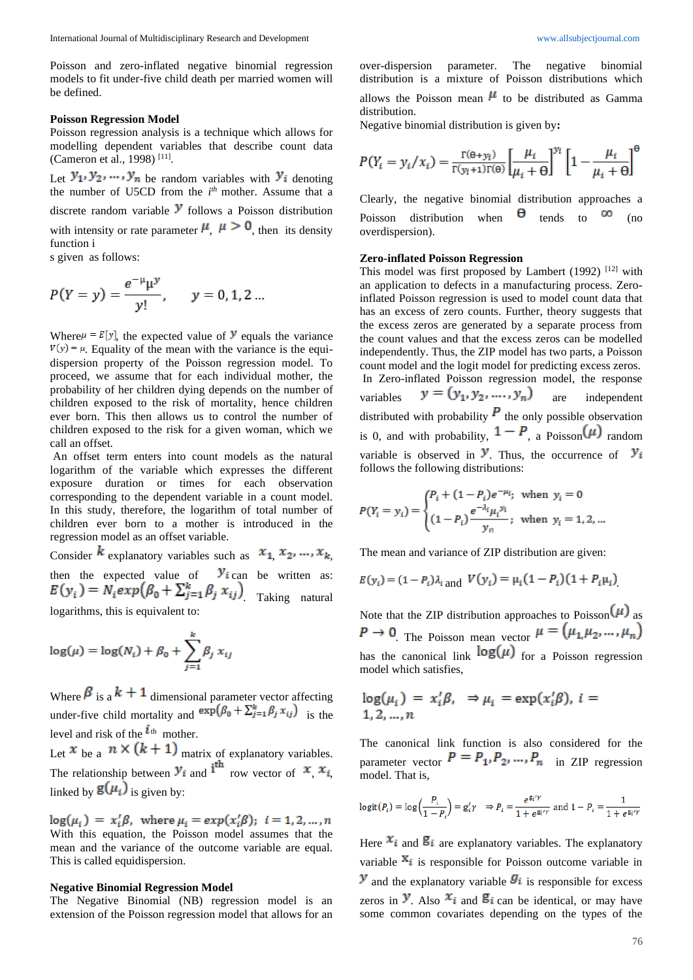Poisson and zero-inflated negative binomial regression models to fit under-five child death per married women will be defined.

#### **Poisson Regression Model**

Poisson regression analysis is a technique which allows for modelling dependent variables that describe count data (Cameron et al., 1998) [11] .

Let  $y_1, y_2, ..., y_n$  be random variables with  $y_i$  denoting the number of U5CD from the *i*<sup>th</sup> mother. Assume that a discrete random variable  $\mathcal Y$  follows a Poisson distribution with intensity or rate parameter  $\mu$ ,  $\mu > 0$ , then its density function i

s given as follows:

$$
P(Y = y) = \frac{e^{-\mu} \mu^{y}}{y!}, \quad y = 0, 1, 2 ...
$$

Where  $\mu = E[y]$ , the expected value of **y** equals the variance  $V(y) = \mu$ . Equality of the mean with the variance is the equidispersion property of the Poisson regression model. To proceed, we assume that for each individual mother, the probability of her children dying depends on the number of children exposed to the risk of mortality, hence children ever born. This then allows us to control the number of children exposed to the risk for a given woman, which we call an offset.

An offset term enters into count models as the natural logarithm of the variable which expresses the different exposure duration or times for each observation corresponding to the dependent variable in a count model. In this study, therefore, the logarithm of total number of children ever born to a mother is introduced in the regression model as an offset variable.

Consider  $k$  explanatory variables such as  $x_1, x_2, ..., x_k$ , then the expected value of  $y_i$  can be written as:  $E(y_i) = N_i exp(\beta_0 + \sum_{j=1}^{k} \beta_j x_{ij})$  Taking natural logarithms, this is equivalent to:

$$
\log(\mu) = \log(N_i) + \beta_0 + \sum_{j=1}^{k} \beta_j x_{ij}
$$

Where  $\beta$  is a  $k+1$  dimensional parameter vector affecting under-five child mortality and  $\exp(\beta_0 + \sum_{j=1}^k \beta_j x_{ij})$  is the level and risk of the  $\iota$ <sup>th</sup> mother.

Let  $x$  be a  $n \times (k + 1)$  matrix of explanatory variables. The relationship between  $y_i$  and  $\overrightarrow{i}$  row vector of  $x_i$ ,  $x_i$ , linked by  $\mathbf{g}(\mu_i)$  is given by:

 $log(\mu_i) = x'_i \beta$ , where  $\mu_i = exp(x'_i \beta)$ ;  $i = 1, 2, ..., n$ With this equation, the Poisson model assumes that the mean and the variance of the outcome variable are equal. This is called equidispersion.

#### **Negative Binomial Regression Model**

The Negative Binomial (NB) regression model is an extension of the Poisson regression model that allows for an over-dispersion parameter. The negative binomial distribution is a mixture of Poisson distributions which allows the Poisson mean  $\mu$  to be distributed as Gamma distribution.

Negative binomial distribution is given by**:**

$$
P(Y_i = y_i / x_i) = \frac{\Gamma(\Theta + y_i)}{\Gamma(y_i + 1)\Gamma(\Theta)} \left[\frac{\mu_i}{\mu_i + \Theta}\right]^{y_i} \left[1 - \frac{\mu_i}{\mu_i + \Theta}\right]^{\Theta}
$$

Clearly, the negative binomial distribution approaches a Poisson distribution when  $\theta$  tends to  $\infty$  (no overdispersion).

#### **Zero-inflated Poisson Regression**

This model was first proposed by Lambert (1992)  $[12]$  with an application to defects in a manufacturing process. Zeroinflated Poisson regression is used to model count data that has an excess of zero counts. Further, theory suggests that the excess zeros are generated by a separate process from the count values and that the excess zeros can be modelled independently. Thus, the ZIP model has two parts, a Poisson count model and the logit model for predicting excess zeros. In Zero-inflated Poisson regression model, the response variables  $y = (y_1, y_2, ..., y_n)$  are independent distributed with probability  $\boldsymbol{P}$  the only possible observation is 0, and with probability,  $1 - P$ , a Poisson  $(\mu)$  random variable is observed in  $\mathcal{Y}$ . Thus, the occurrence of  $\mathcal{Y}_i$ follows the following distributions:

$$
P(Y_i = y_i) = \begin{cases} P_i + (1 - P_i)e^{-\mu_i}, & \text{when } y_i = 0\\ (1 - P_i)\frac{e^{-\lambda_i}\mu_i^{y_i}}{y_{ii}}; & \text{when } y_i = 1, 2, ... \end{cases}
$$

The mean and variance of ZIP distribution are given:

$$
E(y_i) = (1 - P_i)\lambda_i
$$
 and  $V(y_i) = \mu_i(1 - P_i)(1 + P_i\mu_i)$ 

Note that the ZIP distribution approaches to Poisson  $(\mu)$  as  $P \rightarrow 0$  The Poisson mean vector  $\mu = (\mu_1, \mu_2, ..., \mu_n)$ has the canonical link  $log(\mu)$  for a Poisson regression model which satisfies,

$$
log(\mu_i) = x'_i \beta, \Rightarrow \mu_i = exp(x'_i \beta), i = 1, 2, ..., n
$$

The canonical link function is also considered for the parameter vector  $P = P_1, P_2, ..., P_n$  in ZIP regression model. That is,

$$
\text{logit}(P_i) = \text{log}\left(\frac{P_i}{1 - P_i}\right) = \text{g}'_i\gamma \quad \Rightarrow P_i = \frac{e^{\text{g}_i/\gamma}}{1 + e^{\text{g}_i/\gamma}} \text{ and } 1 - P_i = \frac{1}{1 + e^{\text{g}_i/\gamma}}
$$

Here  $x_i$  and  $g_i$  are explanatory variables. The explanatory variable  $X_i$  is responsible for Poisson outcome variable in  $\mathbf{y}$  and the explanatory variable  $\mathbf{g}_i$  is responsible for excess zeros in **y**. Also  $x_i$  and  $g_i$  can be identical, or may have some common covariates depending on the types of the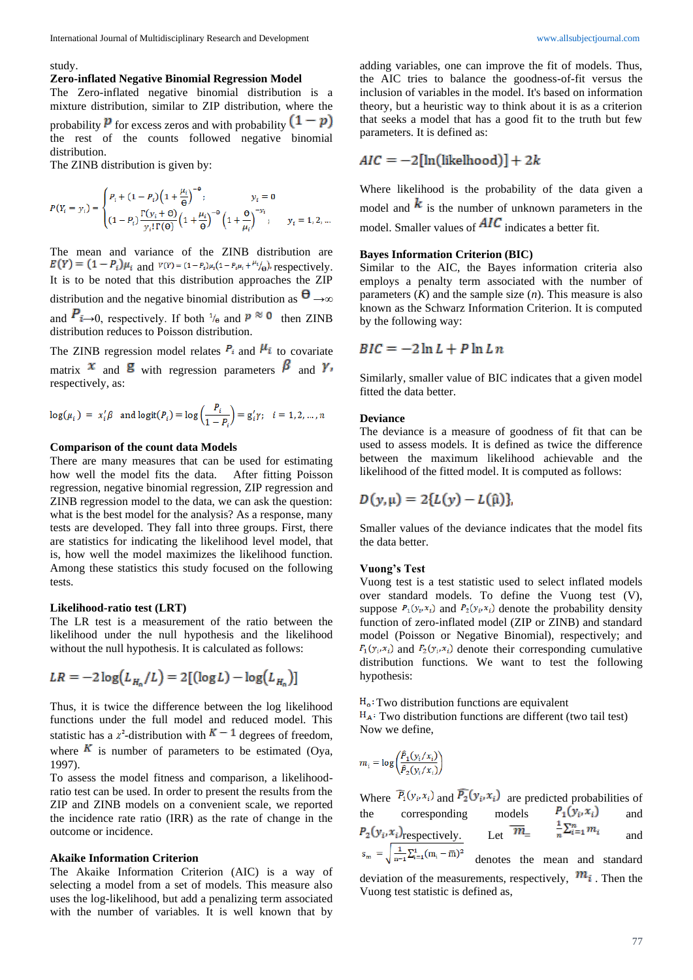#### study.

distribution.

### **Zero-inflated Negative Binomial Regression Model**

The Zero-inflated negative binomial distribution is a mixture distribution, similar to ZIP distribution, where the probability  $\bf{P}$  for excess zeros and with probability  $(1 - p)$ the rest of the counts followed negative binomial

The ZINB distribution is given by:

$$
P(Y_i = y_i) = \begin{cases} P_i + (1 - P_i) (1 + \frac{\mu_i}{\theta})^{-\theta}, & y_i = 0 \\ (1 - P_i) \frac{\Gamma(y_i + \theta)}{y_i! \Gamma(\theta)} (1 + \frac{\mu_i}{\theta})^{-\theta} (1 + \frac{\theta}{\mu_i})^{-y_i}, & y_i = 1, 2, ... \end{cases}
$$

The mean and variance of the ZINB distribution are  $E(Y) = (1 - P_i)\mu_i$  and  $V(Y) = (1 - P_i)\mu_i(1 - P_i\mu_i + \mu_i/\theta)$ , respectively. It is to be noted that this distribution approaches the ZIP distribution and the negative binomial distribution as  $\theta \rightarrow \infty$ and  $P_{i\rightarrow 0}$ , respectively. If both  $\frac{1}{\theta}$  and  $p \approx 0$  then ZINB distribution reduces to Poisson distribution.

The ZINB regression model relates  $P_i$  and  $\mu_i$  to covariate matrix  $x$  and  $y$  with regression parameters  $\beta$  and  $\gamma$ , respectively, as:

$$
\log(\mu_i) = x_i' \beta \text{ and } \logit(P_i) = \log\left(\frac{P_i}{1 - P_i}\right) = g_i' \gamma; \quad i = 1, 2, \dots, n
$$

### **Comparison of the count data Models**

There are many measures that can be used for estimating how well the model fits the data. After fitting Poisson regression, negative binomial regression, ZIP regression and ZINB regression model to the data, we can ask the question: what is the best model for the analysis? As a response, many tests are developed. They fall into three groups. First, there are statistics for indicating the likelihood level model, that is, how well the model maximizes the likelihood function. Among these statistics this study focused on the following tests.

#### **Likelihood-ratio test (LRT)**

The LR test is a measurement of the ratio between the likelihood under the null hypothesis and the likelihood without the null hypothesis. It is calculated as follows:

$$
LR = -2\log(L_{H_0}/L) = 2[(\log L) - \log(L_{H_0})]
$$

Thus, it is twice the difference between the log likelihood functions under the full model and reduced model. This statistic has a  $x^2$ -distribution with  $K-1$  degrees of freedom, where  $\overline{K}$  is number of parameters to be estimated (Oya, 1997).

To assess the model fitness and comparison, a likelihoodratio test can be used. In order to present the results from the ZIP and ZINB models on a convenient scale, we reported the incidence rate ratio (IRR) as the rate of change in the outcome or incidence.

### **Akaike Information Criterion**

The Akaike Information Criterion (AIC) is a way of selecting a model from a set of models. This measure also uses the log-likelihood, but add a penalizing term associated with the number of variables. It is well known that by

adding variables, one can improve the fit of models. Thus, the AIC tries to balance the goodness-of-fit versus the inclusion of variables in the model. It's based on information theory, but a heuristic way to think about it is as a criterion that seeks a model that has a good fit to the truth but few parameters. It is defined as:

$$
AIC = -2[\ln(\text{likelihood})] + 2k
$$

Where likelihood is the probability of the data given a model and  $\boldsymbol{k}$  is the number of unknown parameters in the model. Smaller values of  $AIC$  indicates a better fit.

#### **Bayes Information Criterion (BIC)**

Similar to the AIC, the Bayes information criteria also employs a penalty term associated with the number of parameters  $(K)$  and the sample size  $(n)$ . This measure is also known as the Schwarz Information Criterion. It is computed by the following way:

$$
BIC = -2\ln L + P\ln Ln
$$

Similarly, smaller value of BIC indicates that a given model fitted the data better.

#### **Deviance**

The deviance is a measure of goodness of fit that can be used to assess models. It is defined as twice the difference between the maximum likelihood achievable and the likelihood of the fitted model. It is computed as follows:

$$
D(y,\mu)=2\{L(y)-L(\hat{\mu})\}
$$

Smaller values of the deviance indicates that the model fits the data better.

#### **Vuong's Test**

Vuong test is a test statistic used to select inflated models over standard models. To define the Vuong test (V), suppose  $P_1(y_i, x_i)$  and  $P_2(y_i, x_i)$  denote the probability density function of zero-inflated model (ZIP or ZINB) and standard model (Poisson or Negative Binomial), respectively; and  $F_1(y_i, x_i)$  and  $F_2(y_i, x_i)$  denote their corresponding cumulative distribution functions. We want to test the following hypothesis:

Two distribution functions are equivalent  $H_A$ : Two distribution functions are different (two tail test) Now we define,

$$
m_i = \log \left( \frac{\hat{P}_1(y_i/x_i)}{\hat{P}_2(y_i/x_i)} \right)
$$

Where  $P_1(y_i, x_i)$  and  $P_2(y_i, x_i)$  are predicted probabilities of the corresponding models  $P_1(y_i, x_i)$  and respectively. Let  $m_{\pm} = n^{\frac{m}{2} - 1}$  and  $s_m = \sqrt{\frac{1}{n-1}\sum_{i=1}^{1}(m_i - \overline{m})^2}$  denotes the mean and standard

deviation of the measurements, respectively,  $m_i$ . Then the Vuong test statistic is defined as,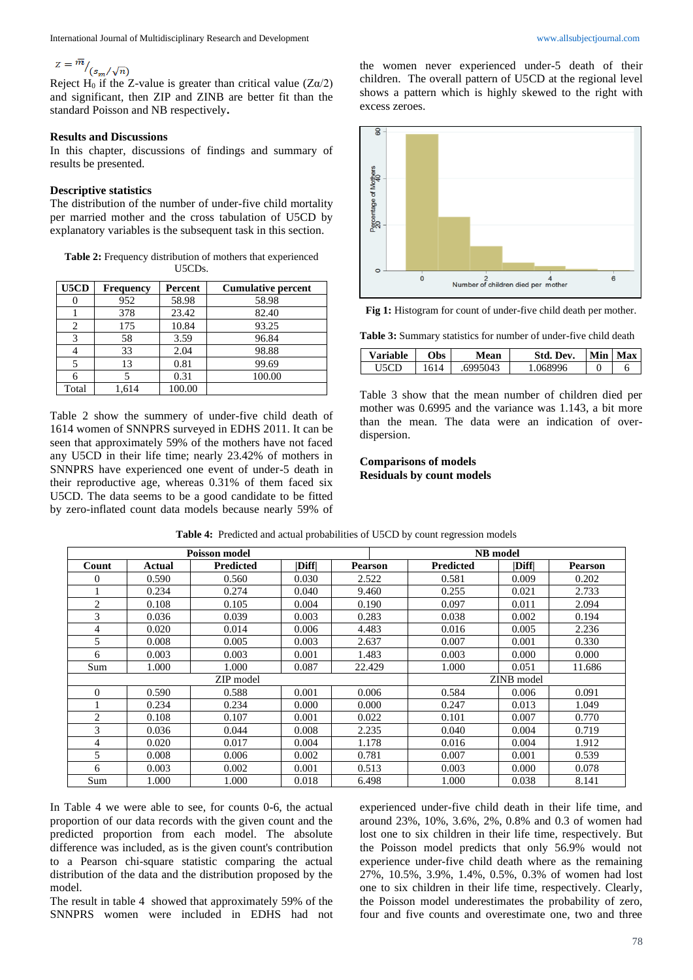$Z = \frac{m}{\sqrt{(s_m/\sqrt{n})}}$ <br>Reject H<sub>0</sub> if the Z-value is greater than critical value (Zα/2) and significant, then ZIP and ZINB are better fit than the standard Poisson and NB respectively**.** 

#### **Results and Discussions**

In this chapter, discussions of findings and summary of results be presented.

### **Descriptive statistics**

The distribution of the number of under-five child mortality per married mother and the cross tabulation of U5CD by explanatory variables is the subsequent task in this section.

**Table 2:** Frequency distribution of mothers that experienced U5CDs.

| U5CD  | <b>Frequency</b> | Percent | <b>Cumulative percent</b> |
|-------|------------------|---------|---------------------------|
|       | 952              | 58.98   | 58.98                     |
|       | 378              | 23.42   | 82.40                     |
|       | 175              | 10.84   | 93.25                     |
|       | 58               | 3.59    | 96.84                     |
|       | 33               | 2.04    | 98.88                     |
|       | 13               | 0.81    | 99.69                     |
|       |                  | 0.31    | 100.00                    |
| Total | 1.614            | 100.00  |                           |

Table 2 show the summery of under-five child death of 1614 women of SNNPRS surveyed in EDHS 2011. It can be seen that approximately 59% of the mothers have not faced any U5CD in their life time; nearly 23.42% of mothers in SNNPRS have experienced one event of under-5 death in their reproductive age, whereas 0.31% of them faced six U5CD. The data seems to be a good candidate to be fitted by zero-inflated count data models because nearly 59% of

the women never experienced under-5 death of their children. The overall pattern of U5CD at the regional level shows a pattern which is highly skewed to the right with excess zeroes.



**Fig 1:** Histogram for count of under-five child death per mother.

**Table 3:** Summary statistics for number of under-five child death

| <b>Variable</b> | bs | lean | Std. Dev.  | Min | <b>Max</b> |
|-----------------|----|------|------------|-----|------------|
|                 |    | AUC. | 8996<br>ገሩ |     |            |

Table 3 show that the mean number of children died per mother was 0.6995 and the variance was 1.143, a bit more than the mean. The data were an indication of overdispersion.

### **Comparisons of models Residuals by count models**

| <b>Poisson model</b> |        |                  |                              |                |                  |       |                |  |
|----------------------|--------|------------------|------------------------------|----------------|------------------|-------|----------------|--|
|                      |        |                  |                              |                | <b>NB</b> model  |       |                |  |
| Count                | Actual | <b>Predicted</b> | $\left  \text{Diff} \right $ | <b>Pearson</b> | <b>Predicted</b> | Diff  | <b>Pearson</b> |  |
| 0                    | 0.590  | 0.560            | 0.030                        | 2.522          | 0.581            | 0.009 | 0.202          |  |
|                      | 0.234  | 0.274            | 0.040                        | 9.460          | 0.255            | 0.021 | 2.733          |  |
| 2                    | 0.108  | 0.105            | 0.004                        | 0.190          | 0.097            | 0.011 | 2.094          |  |
| 3                    | 0.036  | 0.039            | 0.003                        | 0.283          | 0.038            | 0.002 | 0.194          |  |
| 4                    | 0.020  | 0.014            | 0.006                        | 4.483          | 0.016            | 0.005 | 2.236          |  |
| 5                    | 0.008  | 0.005            | 0.003                        | 2.637          | 0.007            | 0.001 | 0.330          |  |
| 6                    | 0.003  | 0.003            | 0.001                        | 1.483          | 0.003            | 0.000 | 0.000          |  |
| Sum                  | 1.000  | 1.000            | 0.087                        | 22.429         | 1.000            | 0.051 | 11.686         |  |
| ZIP model            |        |                  |                              | ZINB model     |                  |       |                |  |
| $\Omega$             | 0.590  | 0.588            | 0.001                        | 0.006          | 0.584            | 0.006 | 0.091          |  |
|                      | 0.234  | 0.234            | 0.000                        | 0.000          | 0.247            | 0.013 | 1.049          |  |
| 2                    | 0.108  | 0.107            | 0.001                        | 0.022          | 0.101            | 0.007 | 0.770          |  |
| 3                    | 0.036  | 0.044            | 0.008                        | 2.235          | 0.040            | 0.004 | 0.719          |  |
| 4                    | 0.020  | 0.017            | 0.004                        | 1.178          | 0.016            | 0.004 | 1.912          |  |
| 5                    | 0.008  | 0.006            | 0.002                        | 0.781          | 0.007            | 0.001 | 0.539          |  |
| 6                    | 0.003  | 0.002            | 0.001                        | 0.513          | 0.003            | 0.000 | 0.078          |  |
| Sum                  | 1.000  | 1.000            | 0.018                        | 6.498          | 1.000            | 0.038 | 8.141          |  |

**Table 4:** Predicted and actual probabilities of U5CD by count regression models

In Table 4 we were able to see, for counts 0-6, the actual proportion of our data records with the given count and the predicted proportion from each model. The absolute difference was included, as is the given count's contribution to a Pearson chi-square statistic comparing the actual distribution of the data and the distribution proposed by the model.

The result in table 4 showed that approximately 59% of the SNNPRS women were included in EDHS had not experienced under-five child death in their life time, and around 23%, 10%, 3.6%, 2%, 0.8% and 0.3 of women had lost one to six children in their life time, respectively. But the Poisson model predicts that only 56.9% would not experience under-five child death where as the remaining 27%, 10.5%, 3.9%, 1.4%, 0.5%, 0.3% of women had lost one to six children in their life time, respectively. Clearly, the Poisson model underestimates the probability of zero, four and five counts and overestimate one, two and three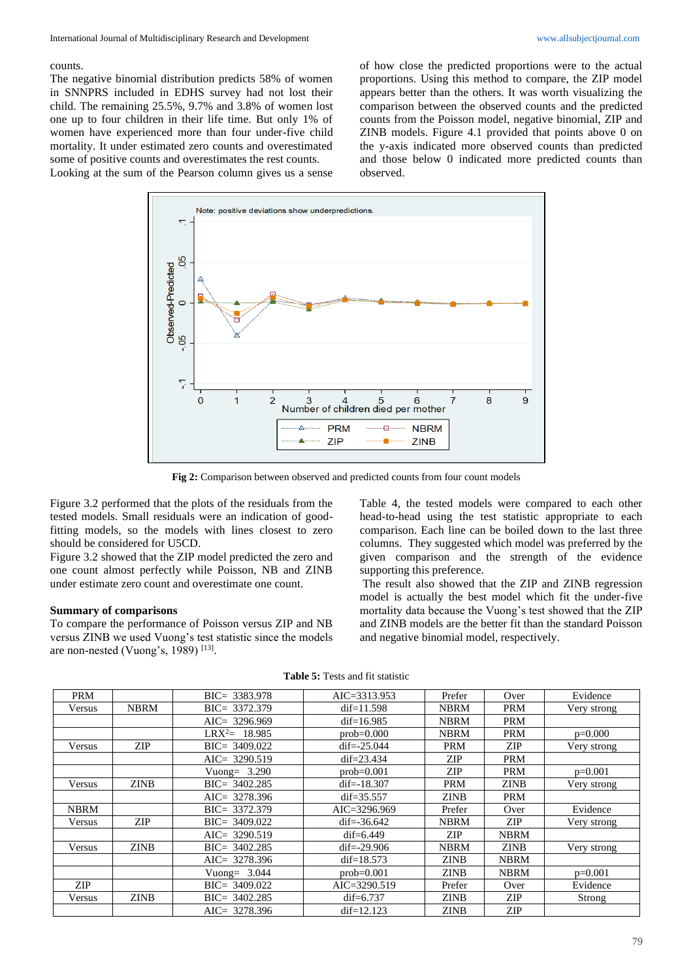#### counts.

The negative binomial distribution predicts 58% of women in SNNPRS included in EDHS survey had not lost their child. The remaining 25.5%, 9.7% and 3.8% of women lost one up to four children in their life time. But only 1% of women have experienced more than four under-five child mortality. It under estimated zero counts and overestimated some of positive counts and overestimates the rest counts. Looking at the sum of the Pearson column gives us a sense of how close the predicted proportions were to the actual proportions. Using this method to compare, the ZIP model appears better than the others. It was worth visualizing the comparison between the observed counts and the predicted counts from the Poisson model, negative binomial, ZIP and ZINB models. Figure 4.1 provided that points above 0 on the y-axis indicated more observed counts than predicted and those below 0 indicated more predicted counts than observed.



**Fig 2:** Comparison between observed and predicted counts from four count models

Figure 3.2 performed that the plots of the residuals from the tested models. Small residuals were an indication of goodfitting models, so the models with lines closest to zero should be considered for U5CD.

Figure 3.2 showed that the ZIP model predicted the zero and one count almost perfectly while Poisson, NB and ZINB under estimate zero count and overestimate one count.

#### **Summary of comparisons**

To compare the performance of Poisson versus ZIP and NB versus ZINB we used Vuong's test statistic since the models are non-nested (Vuong's, 1989)  $^{[13]}$ .

Table 4, the tested models were compared to each other head-to-head using the test statistic appropriate to each comparison. Each line can be boiled down to the last three columns. They suggested which model was preferred by the given comparison and the strength of the evidence supporting this preference.

The result also showed that the ZIP and ZINB regression model is actually the best model which fit the under-five mortality data because the Vuong's test showed that the ZIP and ZINB models are the better fit than the standard Poisson and negative binomial model, respectively.

| <b>PRM</b>  |             | $BIC = 3383.978$ | AIC=3313.953     | Prefer      | Over        | Evidence    |
|-------------|-------------|------------------|------------------|-------------|-------------|-------------|
| Versus      | <b>NBRM</b> | $BIC = 3372.379$ | dif= $11.598$    | <b>NBRM</b> | <b>PRM</b>  | Very strong |
|             |             | AIC= $3296.969$  | $dif=16.985$     | <b>NBRM</b> | <b>PRM</b>  |             |
|             |             | $LRX^2 = 18.985$ | $prob=0.000$     | <b>NBRM</b> | <b>PRM</b>  | $p=0.000$   |
| Versus      | <b>ZIP</b>  | $BIC = 3409.022$ | dif= $-25.044$   | <b>PRM</b>  | ZIP         | Very strong |
|             |             | $AIC = 3290.519$ | dif= $23.434$    | ZIP         | <b>PRM</b>  |             |
|             |             | Vuong= $3.290$   | $prob=0.001$     | <b>ZIP</b>  | <b>PRM</b>  | $p=0.001$   |
| Versus      | <b>ZINB</b> | $BIC = 3402.285$ | dif= $-18.307$   | <b>PRM</b>  | <b>ZINB</b> | Very strong |
|             |             | $AIC = 3278.396$ | dif= $35.557$    | <b>ZINB</b> | <b>PRM</b>  |             |
| <b>NBRM</b> |             | $BIC = 3372.379$ | $AIC = 3296.969$ | Prefer      | Over        | Evidence    |
| Versus      | ZIP         | $BIC = 3409.022$ | dif= $-36.642$   | <b>NBRM</b> | <b>ZIP</b>  | Very strong |
|             |             | $AIC = 3290.519$ | $dif=6.449$      | ZIP         | <b>NBRM</b> |             |
| Versus      | <b>ZINB</b> | $BIC = 3402.285$ | $dif=-29.906$    | <b>NBRM</b> | <b>ZINB</b> | Very strong |
|             |             | $AIC = 3278.396$ | dif= $18.573$    | <b>ZINB</b> | <b>NBRM</b> |             |
|             |             | Vuong= $3.044$   | $prob=0.001$     | <b>ZINB</b> | <b>NBRM</b> | $p=0.001$   |
| <b>ZIP</b>  |             | $BIC = 3409.022$ | $AIC = 3290.519$ | Prefer      | Over        | Evidence    |
| Versus      | <b>ZINB</b> | $BIC = 3402.285$ | $dif=6.737$      | <b>ZINB</b> | ZIP         | Strong      |
|             |             | AIC= $3278.396$  | $dif=12.123$     | <b>ZINB</b> | ZIP         |             |

| <b>Table 5:</b> Tests and fit statistic |  |
|-----------------------------------------|--|
|-----------------------------------------|--|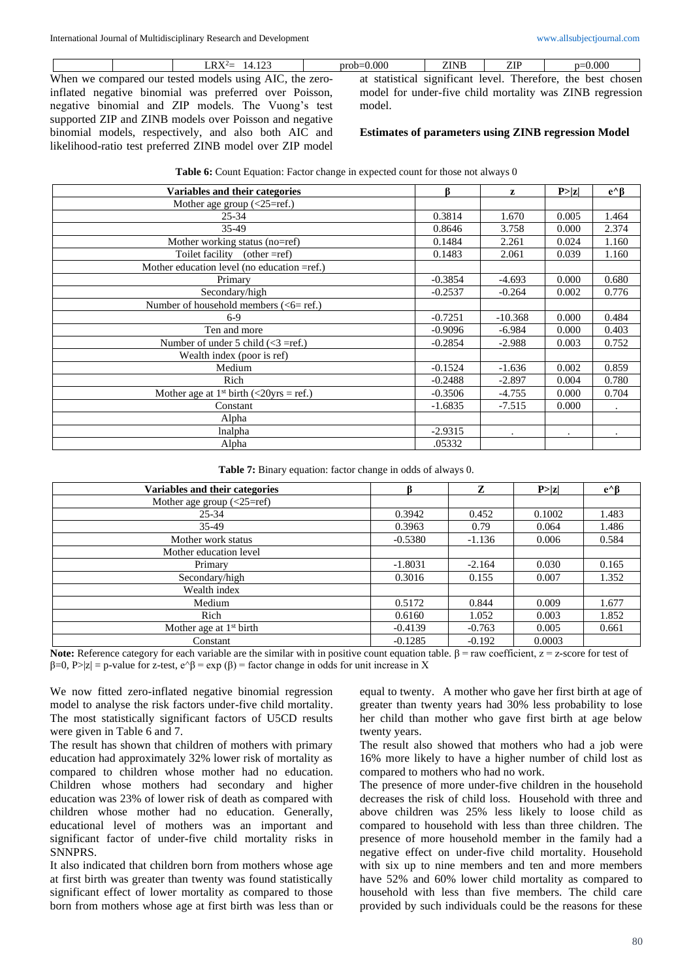When we compared our tested models using AIC, the zeroinflated negative binomial was preferred over Poisson, negative binomial and ZIP models. The Vuong's test supported ZIP and ZINB models over Poisson and negative binomial models, respectively, and also both AIC and likelihood-ratio test preferred ZINB model over ZIP model

LRX<sup>2</sup>= 14.123 prob=0.000 ZINB ZIP p=0.000 at statistical significant level. Therefore, the best chosen model for under-five child mortality was ZINB regression model.

#### **Estimates of parameters using ZINB regression Model**

| Variables and their categories                           | ß         | z                    | P >  z    | $e^{\wedge} \beta$ |
|----------------------------------------------------------|-----------|----------------------|-----------|--------------------|
| Mother age group $(\leq 25 = \text{ref.})$               |           |                      |           |                    |
| $25 - 34$                                                | 0.3814    | 1.670                | 0.005     | 1.464              |
| 35-49                                                    | 0.8646    | 3.758                | 0.000     | 2.374              |
| Mother working status (no=ref)                           | 0.1484    | 2.261                | 0.024     | 1.160              |
| Toilet facility (other =ref)                             | 0.1483    | 2.061                | 0.039     | 1.160              |
| Mother education level (no education =ref.)              |           |                      |           |                    |
| Primary                                                  | $-0.3854$ | $-4.693$             | 0.000     | 0.680              |
| Secondary/high                                           | $-0.2537$ | $-0.264$             | 0.002     | 0.776              |
| Number of household members $(6=ref.)$                   |           |                      |           |                    |
| $6-9$                                                    | $-0.7251$ | $-10.368$            | 0.000     | 0.484              |
| Ten and more                                             | $-0.9096$ | $-6.984$             | 0.000     | 0.403              |
| Number of under 5 child $\left(\langle 3 \right]$ =ref.) | $-0.2854$ | $-2.988$             | 0.003     | 0.752              |
| Wealth index (poor is ref)                               |           |                      |           |                    |
| Medium                                                   | $-0.1524$ | $-1.636$             | 0.002     | 0.859              |
| Rich                                                     | $-0.2488$ | $-2.897$             | 0.004     | 0.780              |
| Mother age at 1 <sup>st</sup> birth (<20yrs = ref.)      | $-0.3506$ | $-4.755$             | 0.000     | 0.704              |
| Constant                                                 | $-1.6835$ | $-7.515$             | 0.000     | $\bullet$          |
| Alpha                                                    |           |                      |           |                    |
| lnalpha                                                  | $-2.9315$ | $\ddot{\phantom{0}}$ | $\bullet$ | $\bullet$          |
| Alpha                                                    | .05332    |                      |           |                    |

**Table 7:** Binary equation: factor change in odds of always 0.

| Variables and their categories      |           | Z        | P >  z | $e^{\wedge}B$ |
|-------------------------------------|-----------|----------|--------|---------------|
| Mother age group $(<25=ref)$        |           |          |        |               |
| $25 - 34$                           | 0.3942    | 0.452    | 0.1002 | 1.483         |
| 35-49                               | 0.3963    | 0.79     | 0.064  | 1.486         |
| Mother work status                  | $-0.5380$ | $-1.136$ | 0.006  | 0.584         |
| Mother education level              |           |          |        |               |
| Primary                             | $-1.8031$ | $-2.164$ | 0.030  | 0.165         |
| Secondary/high                      | 0.3016    | 0.155    | 0.007  | 1.352         |
| Wealth index                        |           |          |        |               |
| Medium                              | 0.5172    | 0.844    | 0.009  | 1.677         |
| Rich                                | 0.6160    | 1.052    | 0.003  | 1.852         |
| Mother age at 1 <sup>st</sup> birth | $-0.4139$ | $-0.763$ | 0.005  | 0.661         |
| Constant                            | $-0.1285$ | $-0.192$ | 0.0003 |               |

Note: Reference category for each variable are the similar with in positive count equation table. β = raw coefficient, z = z-score for test of  $\beta=0$ , P>|z| = p-value for z-test, e^ $\beta$  = exp ( $\beta$ ) = factor change in odds for unit increase in X

We now fitted zero-inflated negative binomial regression model to analyse the risk factors under-five child mortality. The most statistically significant factors of U5CD results were given in Table 6 and 7.

The result has shown that children of mothers with primary education had approximately 32% lower risk of mortality as compared to children whose mother had no education. Children whose mothers had secondary and higher education was 23% of lower risk of death as compared with children whose mother had no education. Generally, educational level of mothers was an important and significant factor of under-five child mortality risks in SNNPRS.

It also indicated that children born from mothers whose age at first birth was greater than twenty was found statistically significant effect of lower mortality as compared to those born from mothers whose age at first birth was less than or

equal to twenty. A mother who gave her first birth at age of greater than twenty years had 30% less probability to lose her child than mother who gave first birth at age below twenty years.

The result also showed that mothers who had a job were 16% more likely to have a higher number of child lost as compared to mothers who had no work.

The presence of more under-five children in the household decreases the risk of child loss. Household with three and above children was 25% less likely to loose child as compared to household with less than three children. The presence of more household member in the family had a negative effect on under-five child mortality. Household with six up to nine members and ten and more members have 52% and 60% lower child mortality as compared to household with less than five members. The child care provided by such individuals could be the reasons for these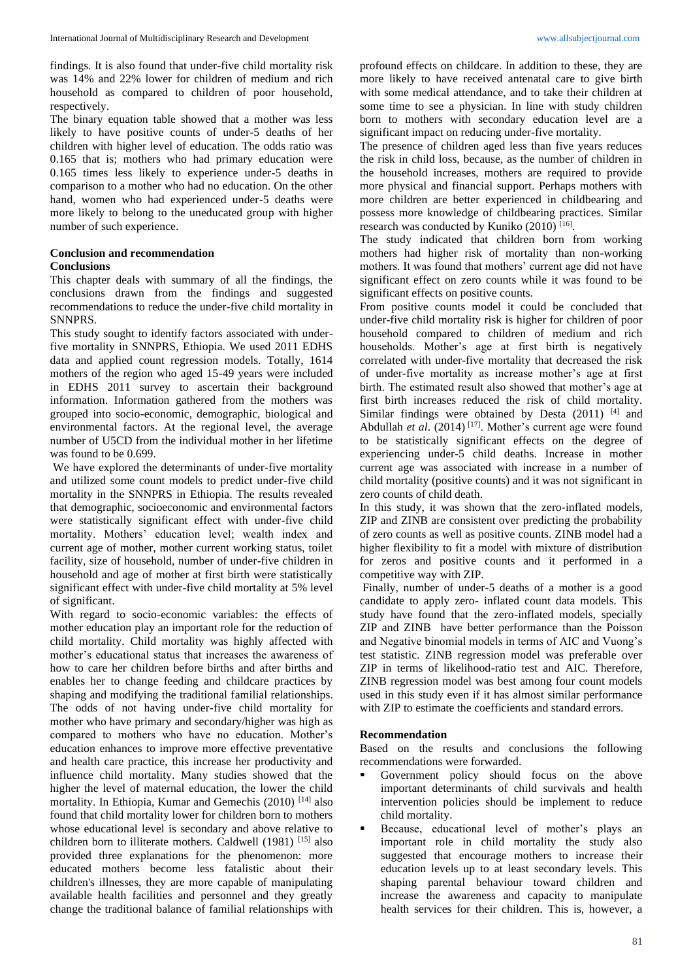findings. It is also found that under-five child mortality risk was 14% and 22% lower for children of medium and rich household as compared to children of poor household, respectively.

The binary equation table showed that a mother was less likely to have positive counts of under-5 deaths of her children with higher level of education. The odds ratio was 0.165 that is; mothers who had primary education were 0.165 times less likely to experience under-5 deaths in comparison to a mother who had no education. On the other hand, women who had experienced under-5 deaths were more likely to belong to the uneducated group with higher number of such experience.

#### **Conclusion and recommendation Conclusions**

This chapter deals with summary of all the findings, the conclusions drawn from the findings and suggested recommendations to reduce the under-five child mortality in SNNPRS.

This study sought to identify factors associated with underfive mortality in SNNPRS, Ethiopia. We used 2011 EDHS data and applied count regression models. Totally, 1614 mothers of the region who aged 15-49 years were included in EDHS 2011 survey to ascertain their background information. Information gathered from the mothers was grouped into socio-economic, demographic, biological and environmental factors. At the regional level, the average number of U5CD from the individual mother in her lifetime was found to be 0.699.

We have explored the determinants of under-five mortality and utilized some count models to predict under-five child mortality in the SNNPRS in Ethiopia. The results revealed that demographic, socioeconomic and environmental factors were statistically significant effect with under-five child mortality. Mothers' education level; wealth index and current age of mother, mother current working status, toilet facility, size of household, number of under-five children in household and age of mother at first birth were statistically significant effect with under-five child mortality at 5% level of significant.

With regard to socio-economic variables: the effects of mother education play an important role for the reduction of child mortality. Child mortality was highly affected with mother's educational status that increases the awareness of how to care her children before births and after births and enables her to change feeding and childcare practices by shaping and modifying the traditional familial relationships. The odds of not having under-five child mortality for mother who have primary and secondary/higher was high as compared to mothers who have no education. Mother's education enhances to improve more effective preventative and health care practice, this increase her productivity and influence child mortality. Many studies showed that the higher the level of maternal education, the lower the child mortality. In Ethiopia, Kumar and Gemechis (2010) [14] also found that child mortality lower for children born to mothers whose educational level is secondary and above relative to children born to illiterate mothers. Caldwell (1981) [15] also provided three explanations for the phenomenon: more educated mothers become less fatalistic about their children's illnesses, they are more capable of manipulating available health facilities and personnel and they greatly change the traditional balance of familial relationships with

profound effects on childcare. In addition to these, they are more likely to have received antenatal care to give birth with some medical attendance, and to take their children at some time to see a physician. In line with study children born to mothers with secondary education level are a significant impact on reducing under-five mortality.

The presence of children aged less than five years reduces the risk in child loss, because, as the number of children in the household increases, mothers are required to provide more physical and financial support. Perhaps mothers with more children are better experienced in childbearing and possess more knowledge of childbearing practices. Similar research was conducted by Kuniko  $(2010)$ <sup>[16]</sup>.

The study indicated that children born from working mothers had higher risk of mortality than non-working mothers. It was found that mothers' current age did not have significant effect on zero counts while it was found to be significant effects on positive counts.

From positive counts model it could be concluded that under-five child mortality risk is higher for children of poor household compared to children of medium and rich households. Mother's age at first birth is negatively correlated with under-five mortality that decreased the risk of under-five mortality as increase mother's age at first birth. The estimated result also showed that mother's age at first birth increases reduced the risk of child mortality. Similar findings were obtained by Desta (2011) [4] and Abdullah *et al.* (2014)<sup>[17]</sup>. Mother's current age were found to be statistically significant effects on the degree of experiencing under-5 child deaths. Increase in mother current age was associated with increase in a number of child mortality (positive counts) and it was not significant in zero counts of child death.

In this study, it was shown that the zero-inflated models, ZIP and ZINB are consistent over predicting the probability of zero counts as well as positive counts. ZINB model had a higher flexibility to fit a model with mixture of distribution for zeros and positive counts and it performed in a competitive way with ZIP.

Finally, number of under-5 deaths of a mother is a good candidate to apply zero- inflated count data models. This study have found that the zero-inflated models, specially ZIP and ZINB have better performance than the Poisson and Negative binomial models in terms of AIC and Vuong's test statistic. ZINB regression model was preferable over ZIP in terms of likelihood-ratio test and AIC. Therefore, ZINB regression model was best among four count models used in this study even if it has almost similar performance with ZIP to estimate the coefficients and standard errors.

### **Recommendation**

Based on the results and conclusions the following recommendations were forwarded.

- Government policy should focus on the above important determinants of child survivals and health intervention policies should be implement to reduce child mortality.
- Because, educational level of mother's plays an important role in child mortality the study also suggested that encourage mothers to increase their education levels up to at least secondary levels. This shaping parental behaviour toward children and increase the awareness and capacity to manipulate health services for their children. This is, however, a